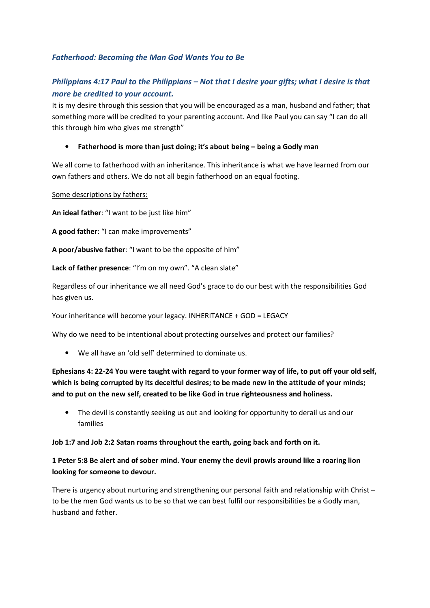# *Fatherhood: Becoming the Man God Wants You to Be*

# *Philippians 4:17 Paul to the Philippians – Not that I desire your gifts; what I desire is that more be credited to your account.*

It is my desire through this session that you will be encouraged as a man, husband and father; that something more will be credited to your parenting account. And like Paul you can say "I can do all this through him who gives me strength"

### • **Fatherhood is more than just doing; it's about being – being a Godly man**

We all come to fatherhood with an inheritance. This inheritance is what we have learned from our own fathers and others. We do not all begin fatherhood on an equal footing.

Some descriptions by fathers:

**An ideal father**: "I want to be just like him"

**A good father**: "I can make improvements"

**A poor/abusive father**: "I want to be the opposite of him"

**Lack of father presence**: "I'm on my own". "A clean slate"

Regardless of our inheritance we all need God's grace to do our best with the responsibilities God has given us.

Your inheritance will become your legacy. INHERITANCE + GOD = LEGACY

Why do we need to be intentional about protecting ourselves and protect our families?

• We all have an 'old self' determined to dominate us.

# **Ephesians 4: 22-24 You were taught with regard to your former way of life, to put off your old self, which is being corrupted by its deceitful desires; to be made new in the attitude of your minds; and to put on the new self, created to be like God in true righteousness and holiness.**

• The devil is constantly seeking us out and looking for opportunity to derail us and our families

#### **Job 1:7 and Job 2:2 Satan roams throughout the earth, going back and forth on it.**

# **1 Peter 5:8 Be alert and of sober mind. Your enemy the devil prowls around like a roaring lion looking for someone to devour.**

There is urgency about nurturing and strengthening our personal faith and relationship with Christ – to be the men God wants us to be so that we can best fulfil our responsibilities be a Godly man, husband and father.